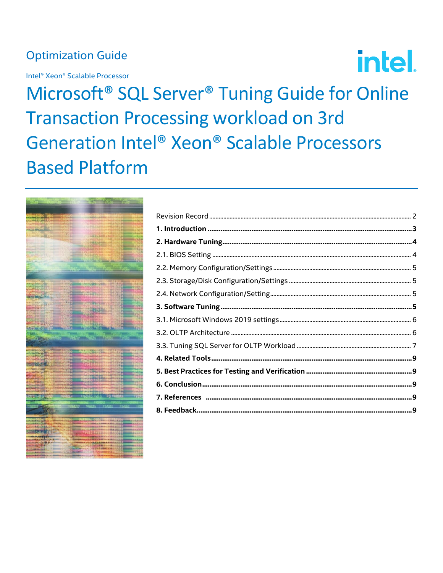# **Optimization Guide**

Intel® Xeon® Scalable Processor

**intel.** 

Microsoft<sup>®</sup> SQL Server<sup>®</sup> Tuning Guide for Online **Transaction Processing workload on 3rd** Generation Intel® Xeon® Scalable Processors **Based Platform** 

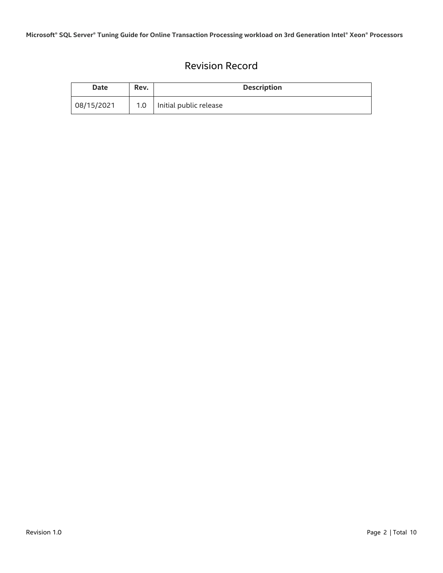## Revision Record

<span id="page-1-0"></span>

| Date       | Rev.             | <b>Description</b>     |
|------------|------------------|------------------------|
| 08/15/2021 | 1.0 <sub>1</sub> | Initial public release |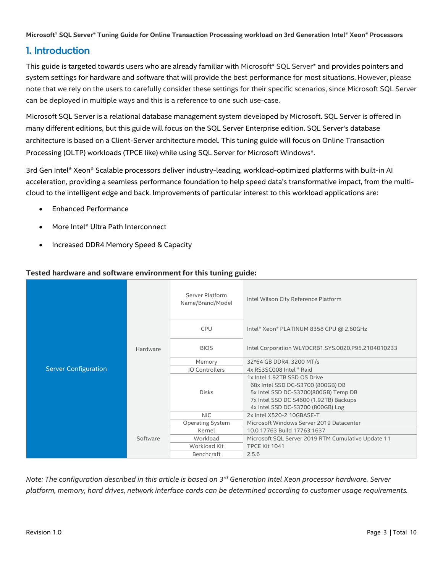## <span id="page-2-0"></span>1. Introduction

This guide is targeted towards users who are already familiar with Microsoft\* SQL Server\* and provides pointers and system settings for hardware and software that will provide the best performance for most situations. However, please note that we rely on the users to carefully consider these settings for their specific scenarios, since Microsoft SQL Server can be deployed in multiple ways and this is a reference to one such use-case.

Microsoft SQL Server is a relational database management system developed by Microsoft. SQL Server is offered in many different editions, but this guide will focus on the SQL Server Enterprise edition. SQL Server's database architecture is based on a Client-Server architecture model. This tuning guide will focus on Online Transaction Processing (OLTP) workloads (TPCE like) while using SQL Server for Microsoft Windows\*.

3rd Gen Intel® Xeon® Scalable processors deliver industry-leading, workload-optimized platforms with built-in AI acceleration, providing a seamless performance foundation to help speed data's transformative impact, from the multicloud to the intelligent edge and back. Improvements of particular interest to this workload applications are:

- Enhanced Performance
- More Intel® Ultra Path Interconnect
- Increased DDR4 Memory Speed & Capacity

| <b>Server Configuration</b> | Hardware<br>Software | Server Platform<br>Name/Brand/Model | Intel Wilson City Reference Platform                                                                                                                                                     |  |
|-----------------------------|----------------------|-------------------------------------|------------------------------------------------------------------------------------------------------------------------------------------------------------------------------------------|--|
|                             |                      | <b>CPU</b>                          | Intel® Xeon® PLATINUM 8358 CPU @ 2.60GHz                                                                                                                                                 |  |
|                             |                      | <b>BIOS</b>                         | Intel Corporation WLYDCRB1.SYS.0020.P95.2104010233                                                                                                                                       |  |
|                             |                      | Memory                              | 32*64 GB DDR4, 3200 MT/s                                                                                                                                                                 |  |
|                             |                      | <b>IO Controllers</b>               | 4x RS3SC008 Intel ® Raid                                                                                                                                                                 |  |
|                             |                      | <b>Disks</b>                        | 1x Intel 1.92TB SSD OS Drive<br>68x Intel SSD DC-S3700 (800GB) DB<br>5x Intel SSD DC-S3700(800GB) Temp DB<br>7x Intel SSD DC S4600 (1.92TB) Backups<br>4x Intel SSD DC-S3700 (800GB) Log |  |
|                             |                      | <b>NIC</b>                          | 2x Intel X520-2 10GBASF-T                                                                                                                                                                |  |
|                             |                      | <b>Operating System</b>             | Microsoft Windows Server 2019 Datacenter                                                                                                                                                 |  |
|                             |                      | Kernel                              | 10.0.17763 Build 17763.1637                                                                                                                                                              |  |
|                             |                      | Workload                            | Microsoft SQL Server 2019 RTM Cumulative Update 11                                                                                                                                       |  |
|                             |                      | Workload Kit                        | TPCE Kit 1041                                                                                                                                                                            |  |
|                             |                      | Benchcraft                          | 2.5.6                                                                                                                                                                                    |  |

#### **Tested hardware and software environment for this tuning guide:**

*Note: The configuration described in this article is based on 3 rd Generation Intel Xeon processor hardware. Server platform, memory, hard drives, network interface cards can be determined according to customer usage requirements.*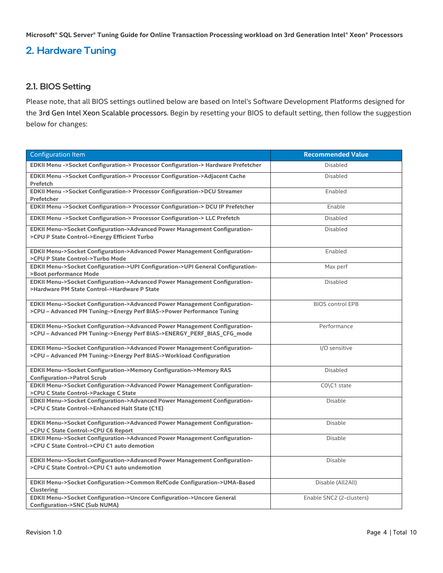## <span id="page-3-0"></span>2. Hardware Tuning

#### <span id="page-3-1"></span>2.1. BIOS Setting

Please note, that all BIOS settings outlined below are based on Intel's Software Development Platforms designed for the 3rd Gen Intel Xeon Scalable processors. Begin by resetting your BIOS to default setting, then follow the suggestion below for changes:

| <b>Configuration Item</b>                                                                                                                            | <b>Recommended Value</b> |
|------------------------------------------------------------------------------------------------------------------------------------------------------|--------------------------|
| EDKII Menu ->Socket Configuration-> Processor Configuration-> Hardware Prefetcher                                                                    | <b>Disabled</b>          |
| EDKII Menu ->Socket Configuration-> Processor Configuration->Adjacent Cache<br><b>Prefetch</b>                                                       | <b>Disabled</b>          |
| EDKII Menu ->Socket Configuration-> Processor Configuration->DCU Streamer<br>Prefetcher                                                              | Enabled                  |
| EDKII Menu ->Socket Configuration-> Processor Configuration-> DCU IP Prefetcher                                                                      | Enable                   |
| EDKII Menu ->Socket Configuration-> Processor Configuration-> LLC Prefetch                                                                           | <b>Disabled</b>          |
| EDKII Menu->Socket Configuration->Advanced Power Management Configuration-<br>>CPU P State Control->Energy Efficient Turbo                           | <b>Disabled</b>          |
| EDKII Menu->Socket Configuration->Advanced Power Management Configuration-<br>>CPU P State Control->Turbo Mode                                       | Enabled                  |
| EDKII Menu->Socket Configuration->UPI Configuration->UPI General Configuration-<br>>Boot performance Mode                                            | Max perf                 |
| EDKII Menu->Socket Configuration->Advanced Power Management Configuration-<br>>Hardware PM State Control->Hardware P State                           | <b>Disabled</b>          |
| EDKII Menu->Socket Configuration->Advanced Power Management Configuration-<br>>CPU - Advanced PM Tuning->Energy Perf BIAS->Power Performance Tuning  | <b>BIOS control EPB</b>  |
| EDKII Menu->Socket Configuration->Advanced Power Management Configuration-<br>>CPU - Advanced PM Tuning->Energy Perf BIAS->ENERGY_PERF_BIAS_CFG_mode | Performance              |
| EDKII Menu->Socket Configuration->Advanced Power Management Configuration-<br>>CPU - Advanced PM Tuning->Energy Perf BIAS->Workload Configuration    | I/O sensitive            |
| EDKII Menu->Socket Configuration->Memory Configuration->Memory RAS<br><b>Configuration-&gt;Patrol Scrub</b>                                          | <b>Disabled</b>          |
| EDKII Menu->Socket Configuration->Advanced Power Management Configuration-<br>>CPU C State Control->Package C State                                  | CO\C1 state              |
| EDKII Menu->Socket Configuration->Advanced Power Management Configuration-<br>>CPU C State Control->Enhanced Halt State (C1E)                        | <b>Disable</b>           |
| EDKII Menu->Socket Configuration->Advanced Power Management Configuration-<br>>CPU C State Control->CPU C6 Report                                    | <b>Disable</b>           |
| EDKII Menu->Socket Configuration->Advanced Power Management Configuration-<br>>CPU C State Control->CPU C1 auto demotion                             | <b>Disable</b>           |
| EDKII Menu->Socket Configuration->Advanced Power Management Configuration-<br>>CPU C State Control->CPU C1 auto undemotion                           | <b>Disable</b>           |
| EDKII Menu->Socket Configuration->Common RefCode Configuration->UMA-Based<br><b>Clustering</b>                                                       | Disable (All2All)        |
| EDKII Menu->Socket Configuration->Uncore Configuration->Uncore General<br><b>Configuration-&gt;SNC (Sub NUMA)</b>                                    | Enable SNC2 (2-clusters) |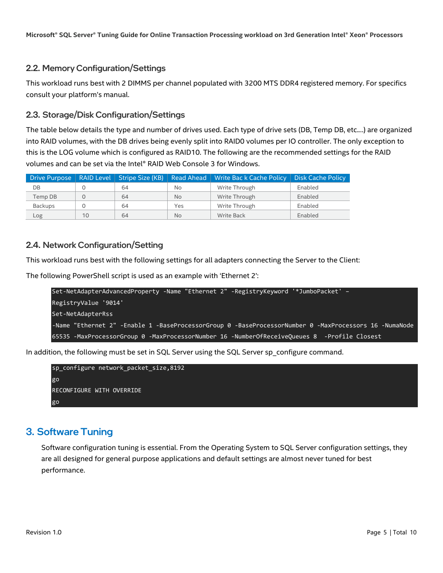#### <span id="page-4-0"></span>2.2. Memory Configuration/Settings

This workload runs best with 2 DIMMS per channel populated with 3200 MTS DDR4 registered memory. For specifics consult your platform's manual.

#### <span id="page-4-1"></span>2.3. Storage/Disk Configuration/Settings

The table below details the type and number of drives used. Each type of drive sets (DB, Temp DB, etc.…) are organized into RAID volumes, with the DB drives being evenly split into RAID0 volumes per IO controller. The only exception to this is the LOG volume which is configured as RAID10. The following are the recommended settings for the RAID volumes and can be set via the Intel® RAID Web Console 3 for Windows.

| Drive Purpose |    |    |           | RAID Level   Stripe Size (KB)   Read Ahead   Write Bac k Cache Policy   Disk Cache Policy |         |
|---------------|----|----|-----------|-------------------------------------------------------------------------------------------|---------|
| DB            |    | 64 | No.       | Write Through                                                                             | Enabled |
| Temp DB       |    | 64 | <b>No</b> | Write Through                                                                             | Enabled |
| Backups       |    | 64 | Yes       | Write Through                                                                             | Enabled |
| Log           | 10 | 64 | <b>No</b> | Write Back                                                                                | Enabled |

#### <span id="page-4-2"></span>2.4. Network Configuration/Setting

This workload runs best with the following settings for all adapters connecting the Server to the Client:

The following PowerShell script is used as an example with 'Ethernet 2':

```
Set-NetAdapterAdvancedProperty -Name "Ethernet 2" -RegistryKeyword '*JumboPacket' –
RegistryValue '9014'
Set-NetAdapterRss
-Name "Ethernet 2" -Enable 1 -BaseProcessorGroup 0 -BaseProcessorNumber 0 -MaxProcessors 16 -NumaNode 
65535 -MaxProcessorGroup 0 -MaxProcessorNumber 16 -NumberOfReceiveQueues 8 -Profile Closest
```
In addition, the following must be set in SQL Server using the SQL Server sp\_configure command.

```
sp_configure network_packet_size,8192
go
RECONFIGURE WITH OVERRIDE
go
```
## <span id="page-4-3"></span>3. Software Tuning

Software configuration tuning is essential. From the Operating System to SQL Server configuration settings, they are all designed for general purpose applications and default settings are almost never tuned for best performance.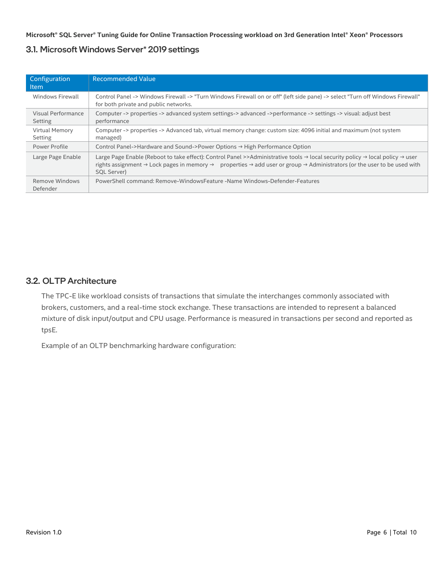#### <span id="page-5-0"></span>3.1. Microsoft Windows Server\* 2019 settings

| Configuration<br><b>Item</b>     | <b>Recommended Value</b>                                                                                                                                                                                                                                                                                                                                    |  |  |  |
|----------------------------------|-------------------------------------------------------------------------------------------------------------------------------------------------------------------------------------------------------------------------------------------------------------------------------------------------------------------------------------------------------------|--|--|--|
| Windows Firewall                 | Control Panel -> Windows Firewall -> "Turn Windows Firewall on or off" (left side pane) -> select "Turn off Windows Firewall"<br>for both private and public networks.                                                                                                                                                                                      |  |  |  |
| Visual Performance<br>Setting    | Computer -> properties -> advanced system settings-> advanced ->performance -> settings -> visual: adjust best<br>performance                                                                                                                                                                                                                               |  |  |  |
| <b>Virtual Memory</b><br>Setting | Computer -> properties -> Advanced tab, virtual memory change: custom size: 4096 initial and maximum (not system<br>managed)                                                                                                                                                                                                                                |  |  |  |
| Power Profile                    | Control Panel->Hardware and Sound->Power Options → High Performance Option                                                                                                                                                                                                                                                                                  |  |  |  |
| Large Page Enable                | Large Page Enable (Reboot to take effect): Control Panel >>Administrative tools $\rightarrow$ local security policy $\rightarrow$ local policy $\rightarrow$ user<br>rights assignment $\rightarrow$ Lock pages in memory $\rightarrow$ properties $\rightarrow$ add user or group $\rightarrow$ Administrators (or the user to be used with<br>SQL Server) |  |  |  |
| Remove Windows<br>Defender       | PowerShell command: Remove-WindowsFeature -Name Windows-Defender-Features                                                                                                                                                                                                                                                                                   |  |  |  |

#### <span id="page-5-1"></span>3.2. OLTP Architecture

The TPC-E like workload consists of transactions that simulate the interchanges commonly associated with brokers, customers, and a real-time stock exchange. These transactions are intended to represent a balanced mixture of disk input/output and CPU usage. Performance is measured in transactions per second and reported as tpsE.

Example of an OLTP benchmarking hardware configuration: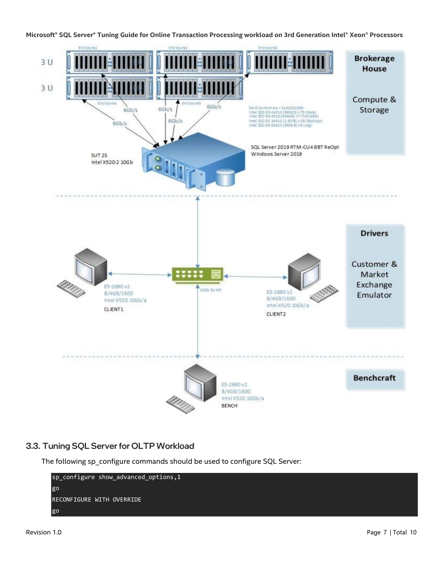

## <span id="page-6-0"></span>3.3. Tuning SQL Server for OLTP Workload

The following sp\_configure commands should be used to configure SQL Server:

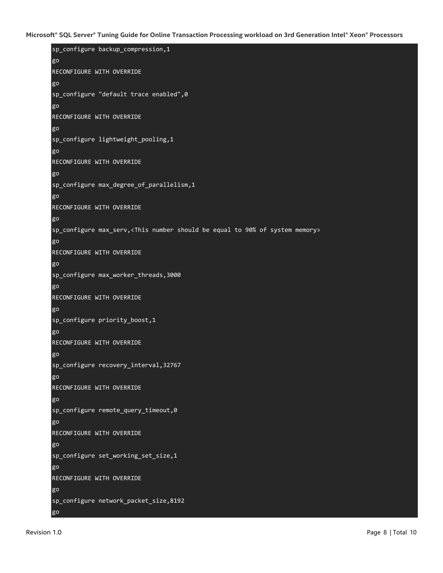```
sp_configure backup_compression,1
go
RECONFIGURE WITH OVERRIDE
go
sp_configure "default trace enabled",0
go
RECONFIGURE WITH OVERRIDE
go
sp_configure lightweight_pooling,1
go
RECONFIGURE WITH OVERRIDE
go
sp_configure max_degree_of_parallelism,1
go
RECONFIGURE WITH OVERRIDE
go
sp_configure max_serv,<This number should be equal to 90% of system memory>
go
RECONFIGURE WITH OVERRIDE
go
sp_configure max_worker_threads,3000
go
RECONFIGURE WITH OVERRIDE
go
sp_configure priority_boost,1
go
RECONFIGURE WITH OVERRIDE
go
sp_configure recovery_interval,32767
go
RECONFIGURE WITH OVERRIDE
go
sp configure remote query timeout, 0
go
RECONFIGURE WITH OVERRIDE
go
sp_configure set_working_set_size,1
go
RECONFIGURE WITH OVERRIDE
go
sp_configure network_packet_size,8192
```
go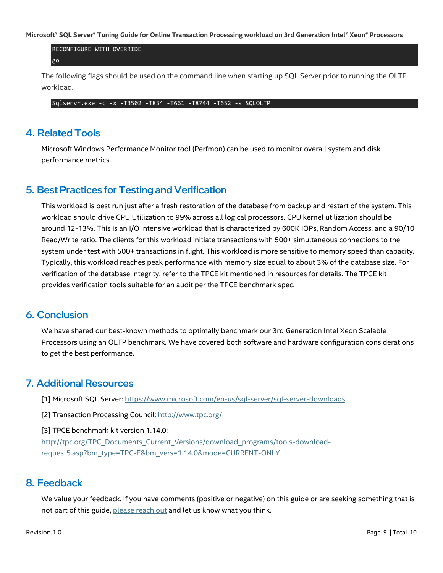RECONFIGURE WITH OVERRIDE go

The following flags should be used on the command line when starting up SQL Server prior to running the OLTP workload.

Sqlservr.exe -c -x -T3502 -T834 -T661 -T8744 -T652 -s SQLOLTP

### <span id="page-8-0"></span>4. Related Tools

Microsoft Windows Performance Monitor tool (Perfmon) can be used to monitor overall system and disk performance metrics.

## <span id="page-8-1"></span>5. Best Practices for Testing and Verification

This workload is best run just after a fresh restoration of the database from backup and restart of the system. This workload should drive CPU Utilization to 99% across all logical processors. CPU kernel utilization should be around 12-13%. This is an I/O intensive workload that is characterized by 600K IOPs, Random Access, and a 90/10 Read/Write ratio. The clients for this workload initiate transactions with 500+ simultaneous connections to the system under test with 500+ transactions in flight. This workload is more sensitive to memory speed than capacity. Typically, this workload reaches peak performance with memory size equal to about 3% of the database size. For verification of the database integrity, refer to the TPCE kit mentioned in resources for details. The TPCE kit provides verification tools suitable for an audit per the TPCE benchmark spec.

## <span id="page-8-2"></span>6. Conclusion

We have shared our best-known methods to optimally benchmark our 3rd Generation Intel Xeon Scalable Processors using an OLTP benchmark. We have covered both software and hardware configuration considerations to get the best performance.

## <span id="page-8-3"></span>7. Additional Resources

[1] Microsoft SQL Server[: https://www.microsoft.com/en-us/sql-server/sql-server-downloads](https://www.microsoft.com/en-us/sql-server/sql-server-downloads)

[2] Transaction Processing Council:<http://www.tpc.org/>

[3] TPCE benchmark kit version 1.14.0:

[http://tpc.org/TPC\\_Documents\\_Current\\_Versions/download\\_programs/tools-download](http://tpc.org/TPC_Documents_Current_Versions/download_programs/tools-download-request5.asp?bm_type=TPC-E&bm_vers=1.14.0&mode=CURRENT-ONLY)[request5.asp?bm\\_type=TPC-E&bm\\_vers=1.14.0&mode=CURRENT-ONLY](http://tpc.org/TPC_Documents_Current_Versions/download_programs/tools-download-request5.asp?bm_type=TPC-E&bm_vers=1.14.0&mode=CURRENT-ONLY)

#### <span id="page-8-4"></span>8. Feedback

We value your feedback. If you have comments (positive or negative) on this guide or are seeking something that is not part of this guide, [please reach out](https://community.intel.com/t5/Software-Tuning-Performance/bd-p/software-tuning-perf-optimization) and let us know what you think.